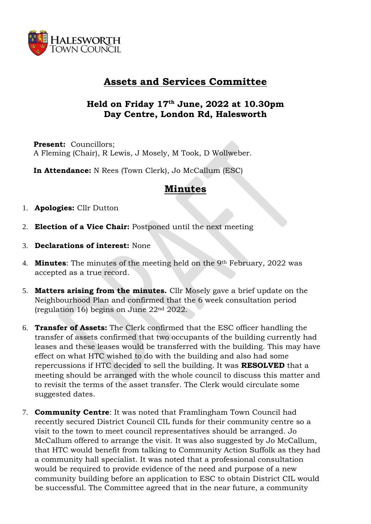

## **Assets and Services Committee**

## **Held on Friday 17th June, 2022 at 10.30pm Day Centre, London Rd, Halesworth**

**Present:** Councillors; A Fleming (Chair), R Lewis, J Mosely, M Took, D Wollweber.

**In Attendance:** N Rees (Town Clerk), Jo McCallum (ESC)

## **Minutes**

- 1. **Apologies:** Cllr Dutton
- 2. **Election of a Vice Chair:** Postponed until the next meeting
- 3. **Declarations of interest:** None
- 4. **Minutes**: The minutes of the meeting held on the 9th February, 2022 was accepted as a true record.
- 5. **Matters arising from the minutes.** Cllr Mosely gave a brief update on the Neighbourhood Plan and confirmed that the 6 week consultation period (regulation 16) begins on June 22nd 2022.
- 6. **Transfer of Assets:** The Clerk confirmed that the ESC officer handling the transfer of assets confirmed that two occupants of the building currently had leases and these leases would be transferred with the building. This may have effect on what HTC wished to do with the building and also had some repercussions if HTC decided to sell the building. It was **RESOLVED** that a meeting should be arranged with the whole council to discuss this matter and to revisit the terms of the asset transfer. The Clerk would circulate some suggested dates.
- 7. **Community Centre**: It was noted that Framlingham Town Council had recently secured District Council CIL funds for their community centre so a visit to the town to meet council representatives should be arranged. Jo McCallum offered to arrange the visit. It was also suggested by Jo McCallum, that HTC would benefit from talking to Community Action Suffolk as they had a community hall specialist. It was noted that a professional consultation would be required to provide evidence of the need and purpose of a new community building before an application to ESC to obtain District CIL would be successful. The Committee agreed that in the near future, a community